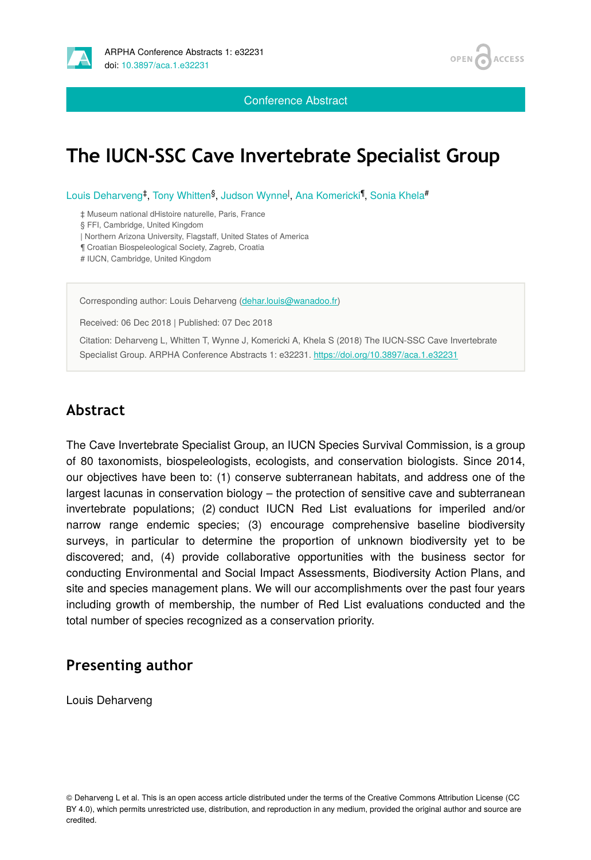

Conference Abstract



## **The IUCN-SSC Cave Invertebrate Specialist Group**

Louis Deharveng<sup>‡</sup>, Tony Whitten<sup>§</sup>, Judson Wynne<sup>l</sup>, Ana Komericki<sup>¶</sup>, Sonia Khela<sup>#</sup>

‡ Museum national dHistoire naturelle, Paris, France

§ FFI, Cambridge, United Kingdom

| Northern Arizona University, Flagstaff, United States of America

¶ Croatian Biospeleological Society, Zagreb, Croatia

# IUCN, Cambridge, United Kingdom

Corresponding author: Louis Deharveng [\(dehar.louis@wanadoo.fr\)](mailto:dehar.louis@wanadoo.fr)

Received: 06 Dec 2018 | Published: 07 Dec 2018

Citation: Deharveng L, Whitten T, Wynne J, Komericki A, Khela S (2018) The IUCN-SSC Cave Invertebrate Specialist Group. ARPHA Conference Abstracts 1: e32231.<https://doi.org/10.3897/aca.1.e32231>

## **Abstract**

The Cave Invertebrate Specialist Group, an IUCN Species Survival Commission, is a group of 80 taxonomists, biospeleologists, ecologists, and conservation biologists. Since 2014, our objectives have been to: (1) conserve subterranean habitats, and address one of the largest lacunas in conservation biology – the protection of sensitive cave and subterranean invertebrate populations; (2) conduct IUCN Red List evaluations for imperiled and/or narrow range endemic species; (3) encourage comprehensive baseline biodiversity surveys, in particular to determine the proportion of unknown biodiversity yet to be discovered; and, (4) provide collaborative opportunities with the business sector for conducting Environmental and Social Impact Assessments, Biodiversity Action Plans, and site and species management plans. We will our accomplishments over the past four years including growth of membership, the number of Red List evaluations conducted and the total number of species recognized as a conservation priority.

## **Presenting author**

Louis Deharveng